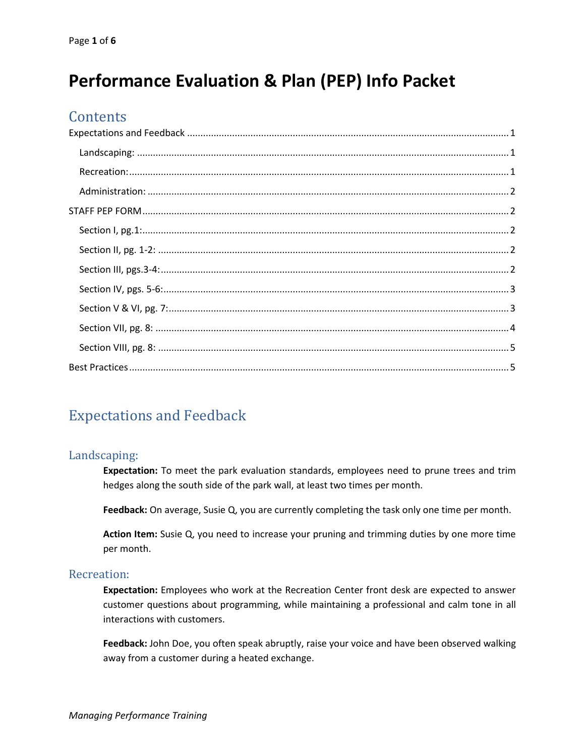# **Performance Evaluation & Plan (PEP) Info Packet**

## **Contents**

## <span id="page-0-0"></span>Expectations and Feedback

#### <span id="page-0-1"></span>Landscaping:

**Expectation:** To meet the park evaluation standards, employees need to prune trees and trim hedges along the south side of the park wall, at least two times per month.

**Feedback:** On average, Susie Q, you are currently completing the task only one time per month.

**Action Item:** Susie Q, you need to increase your pruning and trimming duties by one more time per month.

#### <span id="page-0-2"></span>Recreation:

**Expectation:** Employees who work at the Recreation Center front desk are expected to answer customer questions about programming, while maintaining a professional and calm tone in all interactions with customers.

**Feedback:** John Doe, you often speak abruptly, raise your voice and have been observed walking away from a customer during a heated exchange.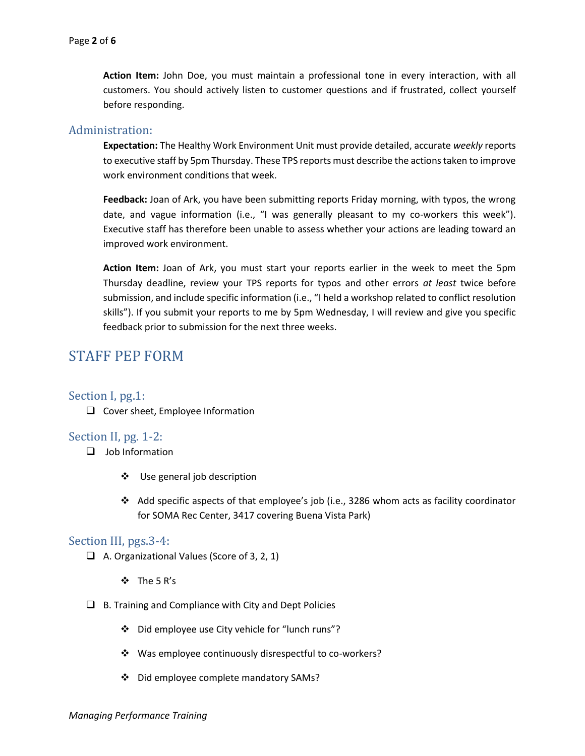**Action Item:** John Doe, you must maintain a professional tone in every interaction, with all customers. You should actively listen to customer questions and if frustrated, collect yourself before responding.

#### <span id="page-1-0"></span>Administration:

**Expectation:** The Healthy Work Environment Unit must provide detailed, accurate *weekly* reports to executive staff by 5pm Thursday. These TPS reports must describe the actions taken to improve work environment conditions that week.

**Feedback:** Joan of Ark, you have been submitting reports Friday morning, with typos, the wrong date, and vague information (i.e., "I was generally pleasant to my co-workers this week"). Executive staff has therefore been unable to assess whether your actions are leading toward an improved work environment.

**Action Item:** Joan of Ark, you must start your reports earlier in the week to meet the 5pm Thursday deadline, review your TPS reports for typos and other errors *at least* twice before submission, and include specific information (i.e., "I held a workshop related to conflict resolution skills"). If you submit your reports to me by 5pm Wednesday, I will review and give you specific feedback prior to submission for the next three weeks.

## <span id="page-1-1"></span>STAFF PEP FORM

#### <span id="page-1-2"></span>Section I, pg.1:

❑ Cover sheet, Employee Information

#### <span id="page-1-3"></span>Section II, pg. 1-2:

- ❑ Job Information
	- ❖ Use general job description
	- ❖ Add specific aspects of that employee's job (i.e., 3286 whom acts as facility coordinator for SOMA Rec Center, 3417 covering Buena Vista Park)

#### <span id="page-1-4"></span>Section III, pgs.3-4:

- ❑ A. Organizational Values (Score of 3, 2, 1)
	- ❖ The 5 R's
- $\Box$  B. Training and Compliance with City and Dept Policies
	- ❖ Did employee use City vehicle for "lunch runs"?
	- ❖ Was employee continuously disrespectful to co-workers?
	- ❖ Did employee complete mandatory SAMs?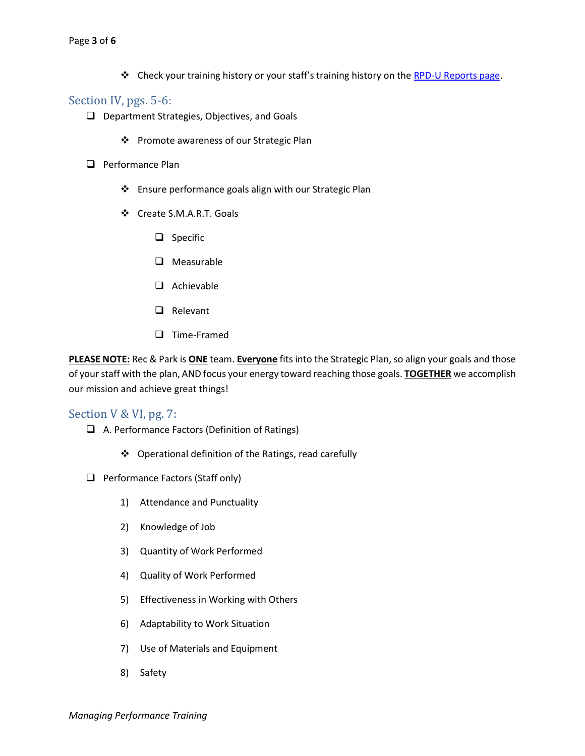❖ Check your training history or your staff's training history on the RPD-U Reports page.

#### <span id="page-2-0"></span>Section IV, pgs. 5-6:

- ❑ Department Strategies, Objectives, and Goals
	- ❖ Promote awareness of our Strategic Plan
- ❑ Performance Plan
	- ❖ Ensure performance goals align with our Strategic Plan
	- ❖ Create S.M.A.R.T. Goals
		- ❑ Specific
		- ❑ Measurable
		- ❑ Achievable
		- ❑ Relevant
		- ❑ Time-Framed

**PLEASE NOTE:** Rec & Park is **ONE** team. **Everyone** fits into the Strategic Plan, so align your goals and those of your staff with the plan, AND focus your energy toward reaching those goals. **TOGETHER** we accomplish our mission and achieve great things!

#### <span id="page-2-1"></span>Section V & VI, pg. 7:

- ❑ A. Performance Factors (Definition of Ratings)
	- ❖ Operational definition of the Ratings, read carefully
- ❑ Performance Factors (Staff only)
	- 1) Attendance and Punctuality
	- 2) Knowledge of Job
	- 3) Quantity of Work Performed
	- 4) Quality of Work Performed
	- 5) Effectiveness in Working with Others
	- 6) Adaptability to Work Situation
	- 7) Use of Materials and Equipment
	- 8) Safety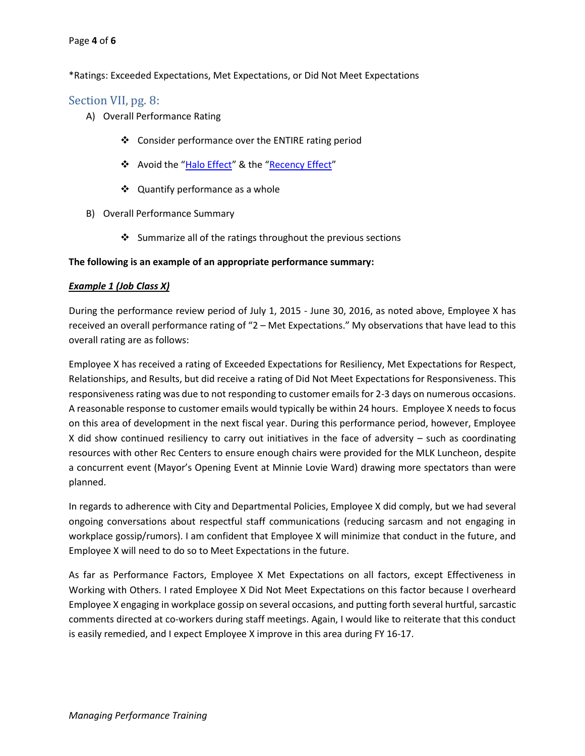#### Page **4** of **6**

#### \*Ratings: Exceeded Expectations, Met Expectations, or Did Not Meet Expectations

#### <span id="page-3-0"></span>Section VII, pg. 8:

- A) Overall Performance Rating
	- ❖ Consider performance over the ENTIRE rating period
	- ❖ Avoid the "Halo Effect" & the "Recency Effect"
	- ❖ Quantify performance as a whole
- B) Overall Performance Summary
	- ❖ Summarize all of the ratings throughout the previous sections

#### **The following is an example of an appropriate performance summary:**

#### *Example 1 (Job Class X)*

During the performance review period of July 1, 2015 - June 30, 2016, as noted above, Employee X has received an overall performance rating of "2 – Met Expectations." My observations that have lead to this overall rating are as follows:

Employee X has received a rating of Exceeded Expectations for Resiliency, Met Expectations for Respect, Relationships, and Results, but did receive a rating of Did Not Meet Expectations for Responsiveness. This responsiveness rating was due to not responding to customer emails for 2-3 days on numerous occasions. A reasonable response to customer emails would typically be within 24 hours. Employee X needs to focus on this area of development in the next fiscal year. During this performance period, however, Employee X did show continued resiliency to carry out initiatives in the face of adversity – such as coordinating resources with other Rec Centers to ensure enough chairs were provided for the MLK Luncheon, despite a concurrent event (Mayor's Opening Event at Minnie Lovie Ward) drawing more spectators than were planned.

In regards to adherence with City and Departmental Policies, Employee X did comply, but we had several ongoing conversations about respectful staff communications (reducing sarcasm and not engaging in workplace gossip/rumors). I am confident that Employee X will minimize that conduct in the future, and Employee X will need to do so to Meet Expectations in the future.

As far as Performance Factors, Employee X Met Expectations on all factors, except Effectiveness in Working with Others. I rated Employee X Did Not Meet Expectations on this factor because I overheard Employee X engaging in workplace gossip on several occasions, and putting forth several hurtful, sarcastic comments directed at co-workers during staff meetings. Again, I would like to reiterate that this conduct is easily remedied, and I expect Employee X improve in this area during FY 16-17.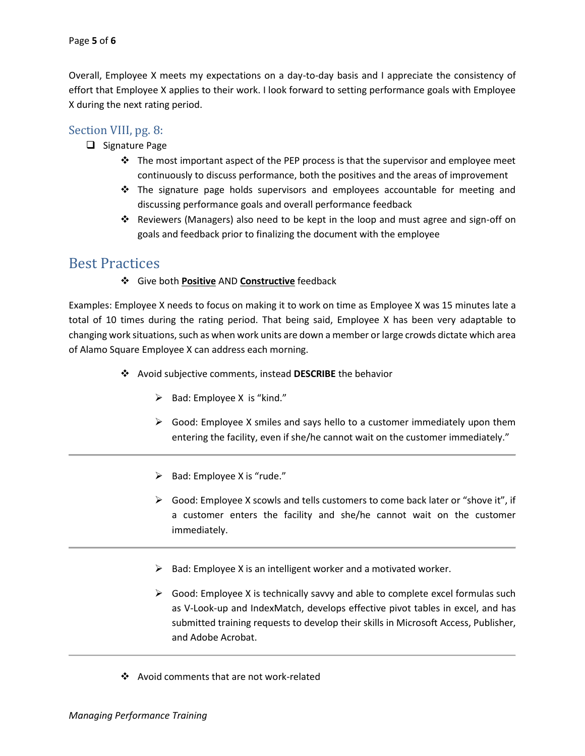Overall, Employee X meets my expectations on a day-to-day basis and I appreciate the consistency of effort that Employee X applies to their work. I look forward to setting performance goals with Employee X during the next rating period.

#### <span id="page-4-0"></span>Section VIII, pg. 8:

- ❑ Signature Page
	- $\cdot \cdot$  The most important aspect of the PEP process is that the supervisor and employee meet continuously to discuss performance, both the positives and the areas of improvement
	- ❖ The signature page holds supervisors and employees accountable for meeting and discussing performance goals and overall performance feedback
	- ❖ Reviewers (Managers) also need to be kept in the loop and must agree and sign-off on goals and feedback prior to finalizing the document with the employee

### <span id="page-4-1"></span>Best Practices

❖ Give both **Positive** AND **Constructive** feedback

Examples: Employee X needs to focus on making it to work on time as Employee X was 15 minutes late a total of 10 times during the rating period. That being said, Employee X has been very adaptable to changing work situations, such as when work units are down a member or large crowds dictate which area of Alamo Square Employee X can address each morning.

- ❖ Avoid subjective comments, instead **DESCRIBE** the behavior
	- $\triangleright$  Bad: Employee X is "kind."
	- $\triangleright$  Good: Employee X smiles and says hello to a customer immediately upon them entering the facility, even if she/he cannot wait on the customer immediately."
	- $\triangleright$  Bad: Employee X is "rude."
	- ➢ Good: Employee X scowls and tells customers to come back later or "shove it", if a customer enters the facility and she/he cannot wait on the customer immediately.
	- $\triangleright$  Bad: Employee X is an intelligent worker and a motivated worker.
	- $\triangleright$  Good: Employee X is technically savvy and able to complete excel formulas such as V-Look-up and IndexMatch, develops effective pivot tables in excel, and has submitted training requests to develop their skills in Microsoft Access, Publisher, and Adobe Acrobat.
- ❖ Avoid comments that are not work-related